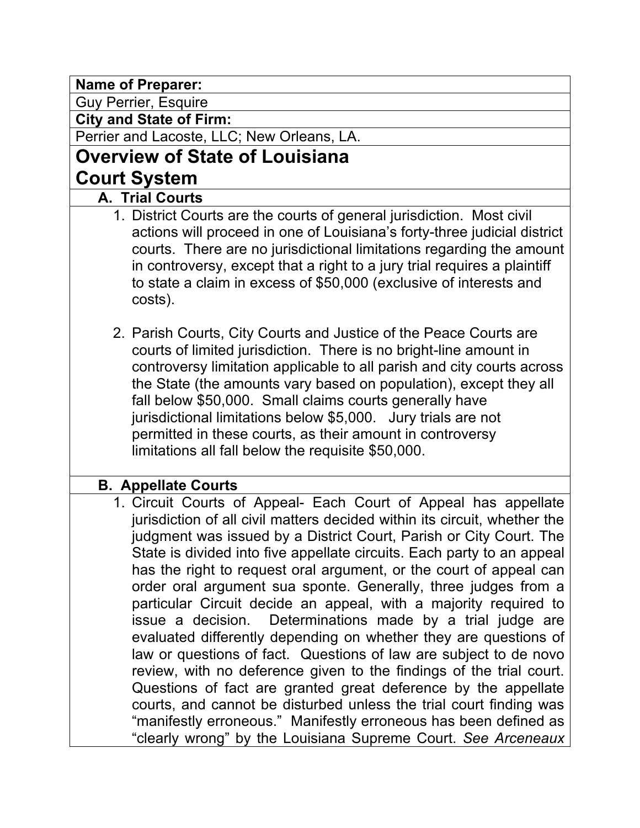**Name of Preparer:**

Guy Perrier, Esquire

**City and State of Firm:**

Perrier and Lacoste, LLC; New Orleans, LA.

# **Overview of State of Louisiana**

# **Court System**

- **A. Trial Courts**
	- 1. District Courts are the courts of general jurisdiction. Most civil actions will proceed in one of Louisiana's forty-three judicial district courts. There are no jurisdictional limitations regarding the amount in controversy, except that a right to a jury trial requires a plaintiff to state a claim in excess of \$50,000 (exclusive of interests and costs).
	- 2. Parish Courts, City Courts and Justice of the Peace Courts are courts of limited jurisdiction. There is no bright-line amount in controversy limitation applicable to all parish and city courts across the State (the amounts vary based on population), except they all fall below \$50,000. Small claims courts generally have jurisdictional limitations below \$5,000. Jury trials are not permitted in these courts, as their amount in controversy limitations all fall below the requisite \$50,000.

# **B. Appellate Courts**

1. Circuit Courts of Appeal- Each Court of Appeal has appellate jurisdiction of all civil matters decided within its circuit, whether the judgment was issued by a District Court, Parish or City Court. The State is divided into five appellate circuits. Each party to an appeal has the right to request oral argument, or the court of appeal can order oral argument sua sponte. Generally, three judges from a particular Circuit decide an appeal, with a majority required to issue a decision. Determinations made by a trial judge are evaluated differently depending on whether they are questions of law or questions of fact. Questions of law are subject to de novo review, with no deference given to the findings of the trial court. Questions of fact are granted great deference by the appellate courts, and cannot be disturbed unless the trial court finding was "manifestly erroneous." Manifestly erroneous has been defined as "clearly wrong" by the Louisiana Supreme Court. *See Arceneaux*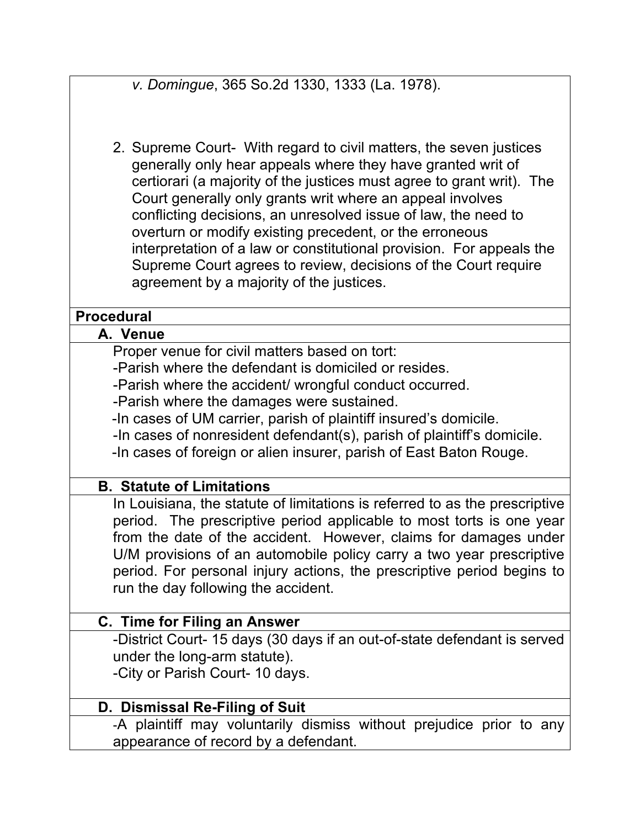*v. Domingue*, 365 So.2d 1330, 1333 (La. 1978).

2. Supreme Court- With regard to civil matters, the seven justices generally only hear appeals where they have granted writ of certiorari (a majority of the justices must agree to grant writ). The Court generally only grants writ where an appeal involves conflicting decisions, an unresolved issue of law, the need to overturn or modify existing precedent, or the erroneous interpretation of a law or constitutional provision. For appeals the Supreme Court agrees to review, decisions of the Court require agreement by a majority of the justices.

#### **Procedural**

#### **A. Venue**

Proper venue for civil matters based on tort:

-Parish where the defendant is domiciled or resides.

-Parish where the accident/ wrongful conduct occurred.

-Parish where the damages were sustained.

-In cases of UM carrier, parish of plaintiff insured's domicile.

-In cases of nonresident defendant(s), parish of plaintiff's domicile.

-In cases of foreign or alien insurer, parish of East Baton Rouge.

#### **B. Statute of Limitations**

In Louisiana, the statute of limitations is referred to as the prescriptive period. The prescriptive period applicable to most torts is one year from the date of the accident. However, claims for damages under U/M provisions of an automobile policy carry a two year prescriptive period. For personal injury actions, the prescriptive period begins to run the day following the accident.

# **C. Time for Filing an Answer**

-District Court- 15 days (30 days if an out-of-state defendant is served under the long-arm statute).

-City or Parish Court- 10 days.

# **D. Dismissal Re-Filing of Suit**

-A plaintiff may voluntarily dismiss without prejudice prior to any appearance of record by a defendant.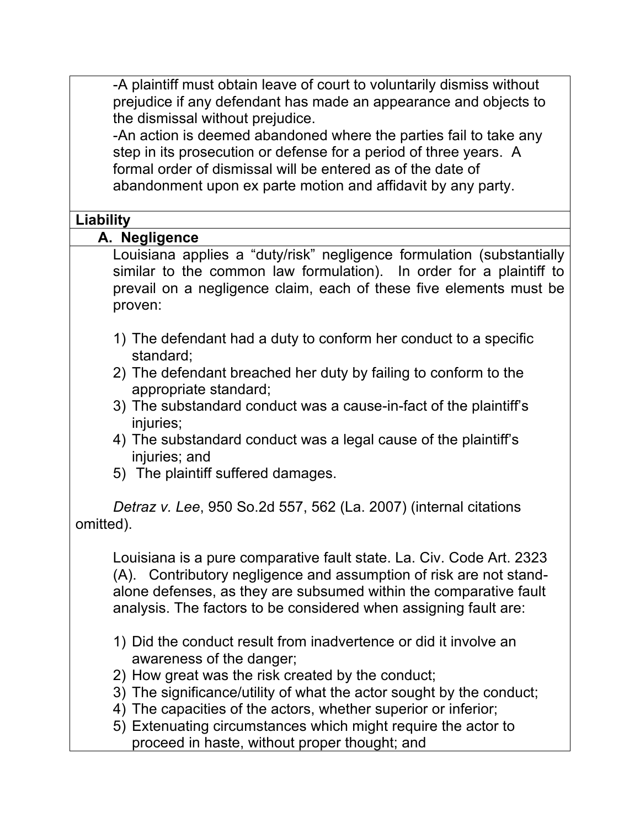-A plaintiff must obtain leave of court to voluntarily dismiss without prejudice if any defendant has made an appearance and objects to the dismissal without prejudice.

-An action is deemed abandoned where the parties fail to take any step in its prosecution or defense for a period of three years. A formal order of dismissal will be entered as of the date of abandonment upon ex parte motion and affidavit by any party.

#### **Liability**

#### **A. Negligence**

Louisiana applies a "duty/risk" negligence formulation (substantially similar to the common law formulation). In order for a plaintiff to prevail on a negligence claim, each of these five elements must be proven:

- 1) The defendant had a duty to conform her conduct to a specific standard;
- 2) The defendant breached her duty by failing to conform to the appropriate standard;
- 3) The substandard conduct was a cause-in-fact of the plaintiff's injuries;
- 4) The substandard conduct was a legal cause of the plaintiff's injuries; and
- 5) The plaintiff suffered damages.

*Detraz v. Lee*, 950 So.2d 557, 562 (La. 2007) (internal citations omitted).

Louisiana is a pure comparative fault state. La. Civ. Code Art. 2323 (A). Contributory negligence and assumption of risk are not standalone defenses, as they are subsumed within the comparative fault analysis. The factors to be considered when assigning fault are:

- 1) Did the conduct result from inadvertence or did it involve an awareness of the danger;
- 2) How great was the risk created by the conduct;
- 3) The significance/utility of what the actor sought by the conduct;
- 4) The capacities of the actors, whether superior or inferior;
- 5) Extenuating circumstances which might require the actor to proceed in haste, without proper thought; and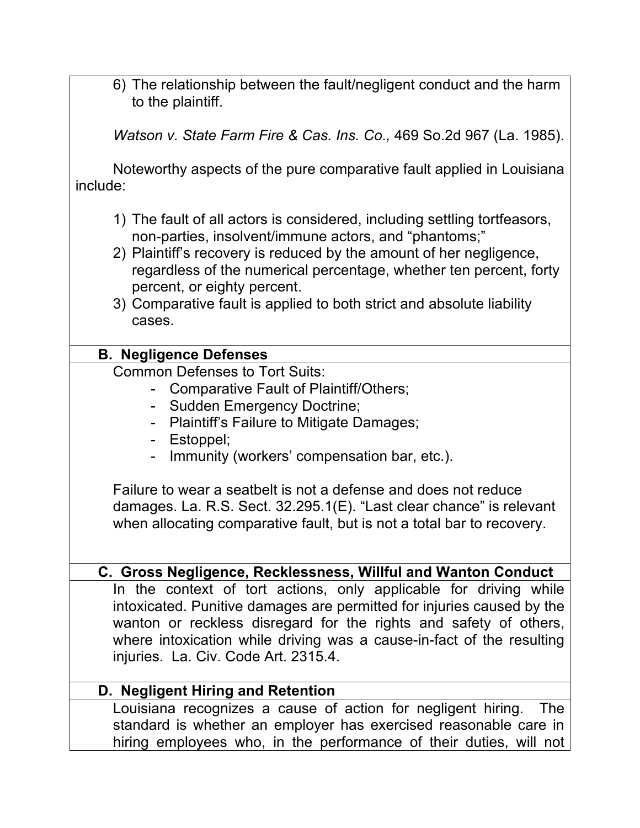6) The relationship between the fault/negligent conduct and the harm to the plaintiff.

*Watson v. State Farm Fire & Cas. Ins. Co.,* 469 So.2d 967 (La. 1985).

Noteworthy aspects of the pure comparative fault applied in Louisiana include:

- 1) The fault of all actors is considered, including settling tortfeasors, non-parties, insolvent/immune actors, and "phantoms;"
- 2) Plaintiff's recovery is reduced by the amount of her negligence, regardless of the numerical percentage, whether ten percent, forty percent, or eighty percent.
- 3) Comparative fault is applied to both strict and absolute liability cases.

# **B. Negligence Defenses**

Common Defenses to Tort Suits:

- Comparative Fault of Plaintiff/Others;
- Sudden Emergency Doctrine;
- Plaintiff's Failure to Mitigate Damages;
- Estoppel;
- Immunity (workers' compensation bar, etc.).

Failure to wear a seatbelt is not a defense and does not reduce damages. La. R.S. Sect. 32.295.1(E). "Last clear chance" is relevant when allocating comparative fault, but is not a total bar to recovery.

# **C. Gross Negligence, Recklessness, Willful and Wanton Conduct**

In the context of tort actions, only applicable for driving while intoxicated. Punitive damages are permitted for injuries caused by the wanton or reckless disregard for the rights and safety of others, where intoxication while driving was a cause-in-fact of the resulting injuries. La. Civ. Code Art. 2315.4.

# **D. Negligent Hiring and Retention**

Louisiana recognizes a cause of action for negligent hiring. The standard is whether an employer has exercised reasonable care in hiring employees who, in the performance of their duties, will not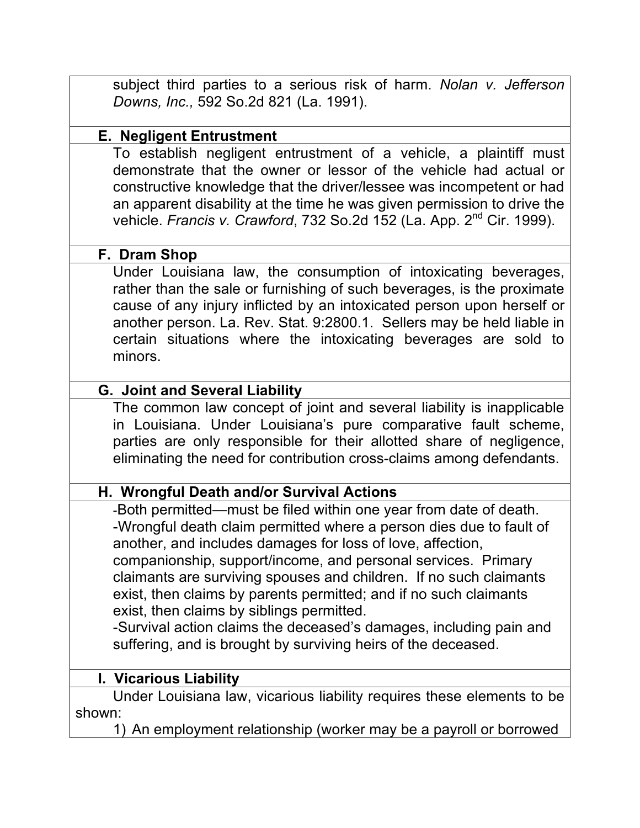subject third parties to a serious risk of harm. *Nolan v. Jefferson Downs, Inc.,* 592 So.2d 821 (La. 1991).

#### **E. Negligent Entrustment**

To establish negligent entrustment of a vehicle, a plaintiff must demonstrate that the owner or lessor of the vehicle had actual or constructive knowledge that the driver/lessee was incompetent or had an apparent disability at the time he was given permission to drive the vehicle. *Francis v. Crawford*, 732 So.2d 152 (La. App. 2nd Cir. 1999).

# **F. Dram Shop**

Under Louisiana law, the consumption of intoxicating beverages, rather than the sale or furnishing of such beverages, is the proximate cause of any injury inflicted by an intoxicated person upon herself or another person. La. Rev. Stat. 9:2800.1. Sellers may be held liable in certain situations where the intoxicating beverages are sold to minors.

# **G. Joint and Several Liability**

The common law concept of joint and several liability is inapplicable in Louisiana. Under Louisiana's pure comparative fault scheme, parties are only responsible for their allotted share of negligence, eliminating the need for contribution cross-claims among defendants.

# **H. Wrongful Death and/or Survival Actions**

-Both permitted—must be filed within one year from date of death. -Wrongful death claim permitted where a person dies due to fault of another, and includes damages for loss of love, affection, companionship, support/income, and personal services. Primary claimants are surviving spouses and children. If no such claimants exist, then claims by parents permitted; and if no such claimants exist, then claims by siblings permitted.

-Survival action claims the deceased's damages, including pain and suffering, and is brought by surviving heirs of the deceased.

# **I. Vicarious Liability**

Under Louisiana law, vicarious liability requires these elements to be shown:

1) An employment relationship (worker may be a payroll or borrowed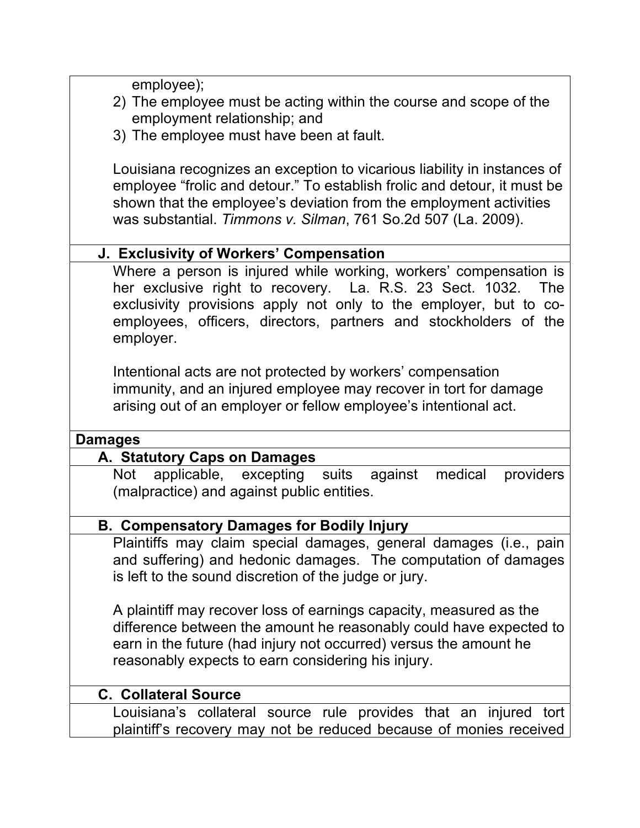employee);

- 2) The employee must be acting within the course and scope of the employment relationship; and
- 3) The employee must have been at fault.

Louisiana recognizes an exception to vicarious liability in instances of employee "frolic and detour." To establish frolic and detour, it must be shown that the employee's deviation from the employment activities was substantial. *Timmons v. Silman*, 761 So.2d 507 (La. 2009).

## **J. Exclusivity of Workers' Compensation**

Where a person is injured while working, workers' compensation is her exclusive right to recovery. La. R.S. 23 Sect. 1032. The exclusivity provisions apply not only to the employer, but to coemployees, officers, directors, partners and stockholders of the employer.

Intentional acts are not protected by workers' compensation immunity, and an injured employee may recover in tort for damage arising out of an employer or fellow employee's intentional act.

#### **Damages**

#### **A. Statutory Caps on Damages**

Not applicable, excepting suits against medical providers (malpractice) and against public entities.

#### **B. Compensatory Damages for Bodily Injury**

Plaintiffs may claim special damages, general damages (i.e., pain and suffering) and hedonic damages. The computation of damages is left to the sound discretion of the judge or jury.

A plaintiff may recover loss of earnings capacity, measured as the difference between the amount he reasonably could have expected to earn in the future (had injury not occurred) versus the amount he reasonably expects to earn considering his injury.

#### **C. Collateral Source**

Louisiana's collateral source rule provides that an injured tort plaintiff's recovery may not be reduced because of monies received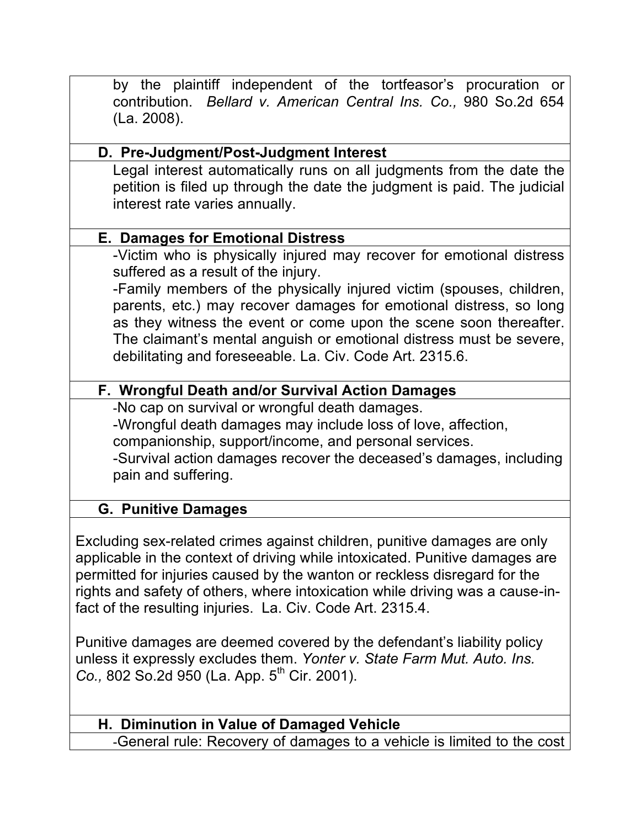by the plaintiff independent of the tortfeasor's procuration or contribution. *Bellard v. American Central Ins. Co.,* 980 So.2d 654 (La. 2008).

# **D. Pre-Judgment/Post-Judgment Interest**

Legal interest automatically runs on all judgments from the date the petition is filed up through the date the judgment is paid. The judicial interest rate varies annually.

# **E. Damages for Emotional Distress**

-Victim who is physically injured may recover for emotional distress suffered as a result of the injury.

-Family members of the physically injured victim (spouses, children, parents, etc.) may recover damages for emotional distress, so long as they witness the event or come upon the scene soon thereafter. The claimant's mental anguish or emotional distress must be severe, debilitating and foreseeable. La. Civ. Code Art. 2315.6.

# **F. Wrongful Death and/or Survival Action Damages**

-No cap on survival or wrongful death damages. -Wrongful death damages may include loss of love, affection, companionship, support/income, and personal services. -Survival action damages recover the deceased's damages, including pain and suffering.

# **G. Punitive Damages**

Excluding sex-related crimes against children, punitive damages are only applicable in the context of driving while intoxicated. Punitive damages are permitted for injuries caused by the wanton or reckless disregard for the rights and safety of others, where intoxication while driving was a cause-infact of the resulting injuries. La. Civ. Code Art. 2315.4.

Punitive damages are deemed covered by the defendant's liability policy unless it expressly excludes them. *Yonter v. State Farm Mut. Auto. Ins. Co.,* 802 So.2d 950 (La. App. 5<sup>th</sup> Cir. 2001).

# **H. Diminution in Value of Damaged Vehicle**

-General rule: Recovery of damages to a vehicle is limited to the cost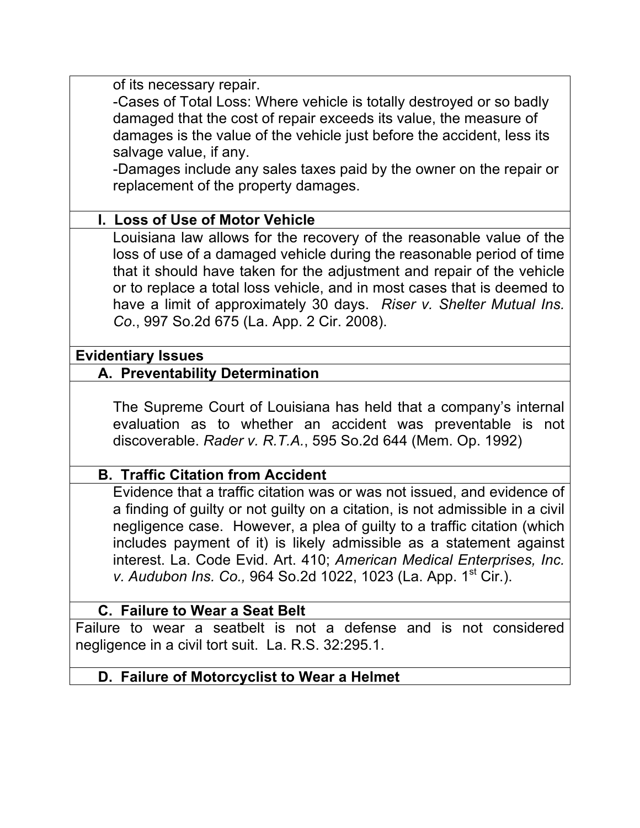of its necessary repair.

-Cases of Total Loss: Where vehicle is totally destroyed or so badly damaged that the cost of repair exceeds its value, the measure of damages is the value of the vehicle just before the accident, less its salvage value, if any.

-Damages include any sales taxes paid by the owner on the repair or replacement of the property damages.

## **I. Loss of Use of Motor Vehicle**

Louisiana law allows for the recovery of the reasonable value of the loss of use of a damaged vehicle during the reasonable period of time that it should have taken for the adjustment and repair of the vehicle or to replace a total loss vehicle, and in most cases that is deemed to have a limit of approximately 30 days. *Riser v. Shelter Mutual Ins. Co*., 997 So.2d 675 (La. App. 2 Cir. 2008).

#### **Evidentiary Issues**

#### **A. Preventability Determination**

The Supreme Court of Louisiana has held that a company's internal evaluation as to whether an accident was preventable is not discoverable. *Rader v. R.T.A.*, 595 So.2d 644 (Mem. Op. 1992)

#### **B. Traffic Citation from Accident**

Evidence that a traffic citation was or was not issued, and evidence of a finding of guilty or not guilty on a citation, is not admissible in a civil negligence case. However, a plea of guilty to a traffic citation (which includes payment of it) is likely admissible as a statement against interest. La. Code Evid. Art. 410; *American Medical Enterprises, Inc. v. Audubon Ins. Co., 964 So.2d 1022, 1023 (La. App. 1<sup>st</sup> Cir.).* 

#### **C. Failure to Wear a Seat Belt**

Failure to wear a seatbelt is not a defense and is not considered negligence in a civil tort suit. La. R.S. 32:295.1.

#### **D. Failure of Motorcyclist to Wear a Helmet**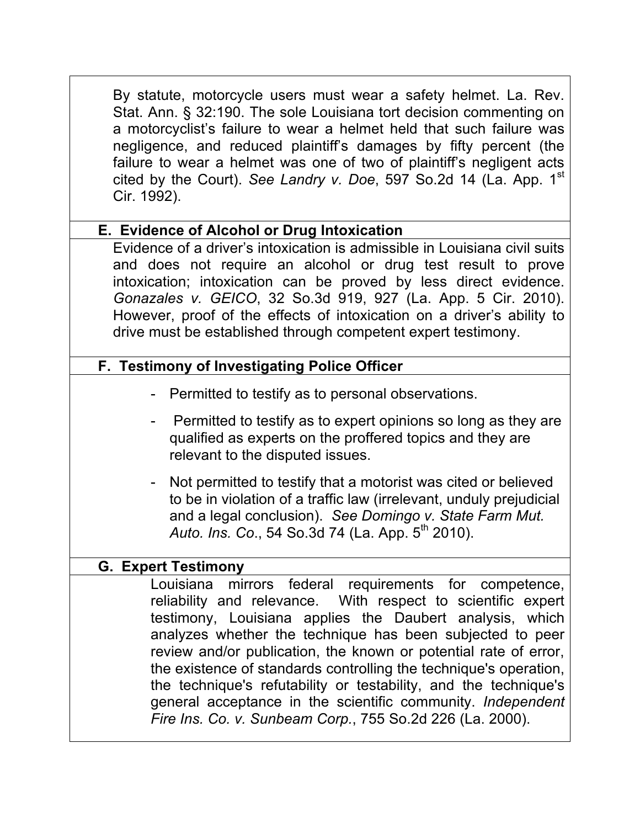| By statute, motorcycle users must wear a safety helmet. La. Rev.<br>Stat. Ann. § 32:190. The sole Louisiana tort decision commenting on<br>a motorcyclist's failure to wear a helmet held that such failure was<br>negligence, and reduced plaintiff's damages by fifty percent (the<br>failure to wear a helmet was one of two of plaintiff's negligent acts<br>cited by the Court). See Landry v. Doe, 597 So.2d 14 (La. App. 1 <sup>st</sup><br>Cir. 1992).                                                                                                                           |
|------------------------------------------------------------------------------------------------------------------------------------------------------------------------------------------------------------------------------------------------------------------------------------------------------------------------------------------------------------------------------------------------------------------------------------------------------------------------------------------------------------------------------------------------------------------------------------------|
| E. Evidence of Alcohol or Drug Intoxication                                                                                                                                                                                                                                                                                                                                                                                                                                                                                                                                              |
| Evidence of a driver's intoxication is admissible in Louisiana civil suits<br>and does not require an alcohol or drug test result to prove<br>intoxication; intoxication can be proved by less direct evidence.<br>Gonazales v. GEICO, 32 So.3d 919, 927 (La. App. 5 Cir. 2010).<br>However, proof of the effects of intoxication on a driver's ability to<br>drive must be established through competent expert testimony.                                                                                                                                                              |
| F. Testimony of Investigating Police Officer                                                                                                                                                                                                                                                                                                                                                                                                                                                                                                                                             |
| - Permitted to testify as to personal observations.                                                                                                                                                                                                                                                                                                                                                                                                                                                                                                                                      |
| Permitted to testify as to expert opinions so long as they are<br>qualified as experts on the proffered topics and they are<br>relevant to the disputed issues.                                                                                                                                                                                                                                                                                                                                                                                                                          |
| - Not permitted to testify that a motorist was cited or believed<br>to be in violation of a traffic law (irrelevant, unduly prejudicial<br>and a legal conclusion). See Domingo v. State Farm Mut.<br>Auto. Ins. Co., 54 So.3d 74 (La. App. 5 <sup>th</sup> 2010).                                                                                                                                                                                                                                                                                                                       |
| <b>G. Expert Testimony</b>                                                                                                                                                                                                                                                                                                                                                                                                                                                                                                                                                               |
| Louisiana mirrors federal requirements for competence,<br>reliability and relevance. With respect to scientific expert<br>testimony, Louisiana applies the Daubert analysis, which<br>analyzes whether the technique has been subjected to peer<br>review and/or publication, the known or potential rate of error,<br>the existence of standards controlling the technique's operation,<br>the technique's refutability or testability, and the technique's<br>general acceptance in the scientific community. Independent<br>Fire Ins. Co. v. Sunbeam Corp., 755 So.2d 226 (La. 2000). |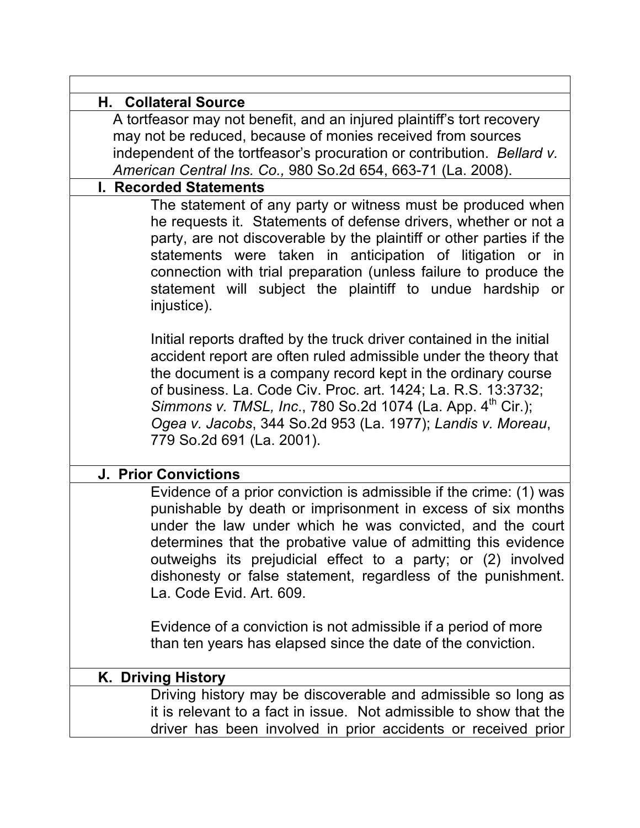| <b>H. Collateral Source</b>                                                                                                                                                                                                                                                                                                                                                                                                                     |
|-------------------------------------------------------------------------------------------------------------------------------------------------------------------------------------------------------------------------------------------------------------------------------------------------------------------------------------------------------------------------------------------------------------------------------------------------|
| A tortfeasor may not benefit, and an injured plaintiff's tort recovery                                                                                                                                                                                                                                                                                                                                                                          |
| may not be reduced, because of monies received from sources                                                                                                                                                                                                                                                                                                                                                                                     |
| independent of the tortfeasor's procuration or contribution. Bellard v.                                                                                                                                                                                                                                                                                                                                                                         |
| American Central Ins. Co., 980 So.2d 654, 663-71 (La. 2008).                                                                                                                                                                                                                                                                                                                                                                                    |
| <b>I. Recorded Statements</b>                                                                                                                                                                                                                                                                                                                                                                                                                   |
| The statement of any party or witness must be produced when<br>he requests it. Statements of defense drivers, whether or not a<br>party, are not discoverable by the plaintiff or other parties if the<br>statements were taken in anticipation of litigation or in<br>connection with trial preparation (unless failure to produce the<br>statement will subject the plaintiff to undue hardship or<br>injustice).                             |
| Initial reports drafted by the truck driver contained in the initial<br>accident report are often ruled admissible under the theory that<br>the document is a company record kept in the ordinary course<br>of business. La. Code Civ. Proc. art. 1424; La. R.S. 13:3732;<br>Simmons v. TMSL, Inc., 780 So.2d 1074 (La. App. 4 <sup>th</sup> Cir.);<br>Ogea v. Jacobs, 344 So.2d 953 (La. 1977); Landis v. Moreau,<br>779 So.2d 691 (La. 2001). |
| <b>J. Prior Convictions</b>                                                                                                                                                                                                                                                                                                                                                                                                                     |
| Evidence of a prior conviction is admissible if the crime: (1) was<br>punishable by death or imprisonment in excess of six months<br>under the law under which he was convicted, and the court<br>determines that the probative value of admitting this evidence<br>outweighs its prejudicial effect to a party; or (2) involved<br>dishonesty or false statement, regardless of the punishment.<br>La. Code Evid. Art. 609.                    |
| Evidence of a conviction is not admissible if a period of more<br>than ten years has elapsed since the date of the conviction.                                                                                                                                                                                                                                                                                                                  |
| K. Driving History                                                                                                                                                                                                                                                                                                                                                                                                                              |
| Driving history may be discoverable and admissible so long as<br>it is relevant to a fact in issue. Not admissible to show that the<br>driver has been involved in prior accidents or received prior                                                                                                                                                                                                                                            |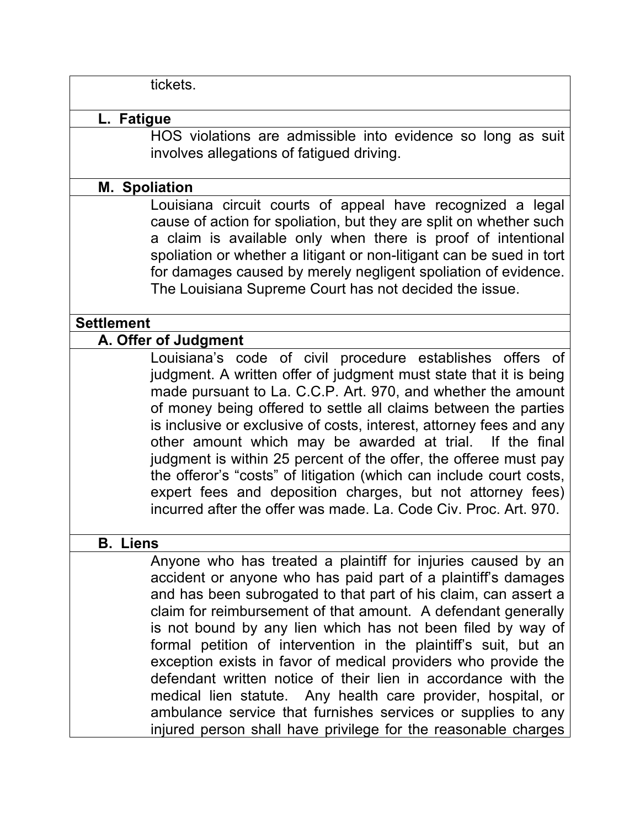tickets.

#### **L. Fatigue**

HOS violations are admissible into evidence so long as suit involves allegations of fatigued driving.

#### **M. Spoliation**

Louisiana circuit courts of appeal have recognized a legal cause of action for spoliation, but they are split on whether such a claim is available only when there is proof of intentional spoliation or whether a litigant or non-litigant can be sued in tort for damages caused by merely negligent spoliation of evidence. The Louisiana Supreme Court has not decided the issue.

#### **Settlement**

#### **A. Offer of Judgment**

Louisiana's code of civil procedure establishes offers of judgment. A written offer of judgment must state that it is being made pursuant to La. C.C.P. Art. 970, and whether the amount of money being offered to settle all claims between the parties is inclusive or exclusive of costs, interest, attorney fees and any other amount which may be awarded at trial. If the final judgment is within 25 percent of the offer, the offeree must pay the offeror's "costs" of litigation (which can include court costs, expert fees and deposition charges, but not attorney fees) incurred after the offer was made. La. Code Civ. Proc. Art. 970.

#### **B. Liens**

Anyone who has treated a plaintiff for injuries caused by an accident or anyone who has paid part of a plaintiff's damages and has been subrogated to that part of his claim, can assert a claim for reimbursement of that amount. A defendant generally is not bound by any lien which has not been filed by way of formal petition of intervention in the plaintiff's suit, but an exception exists in favor of medical providers who provide the defendant written notice of their lien in accordance with the medical lien statute. Any health care provider, hospital, or ambulance service that furnishes services or supplies to any injured person shall have privilege for the reasonable charges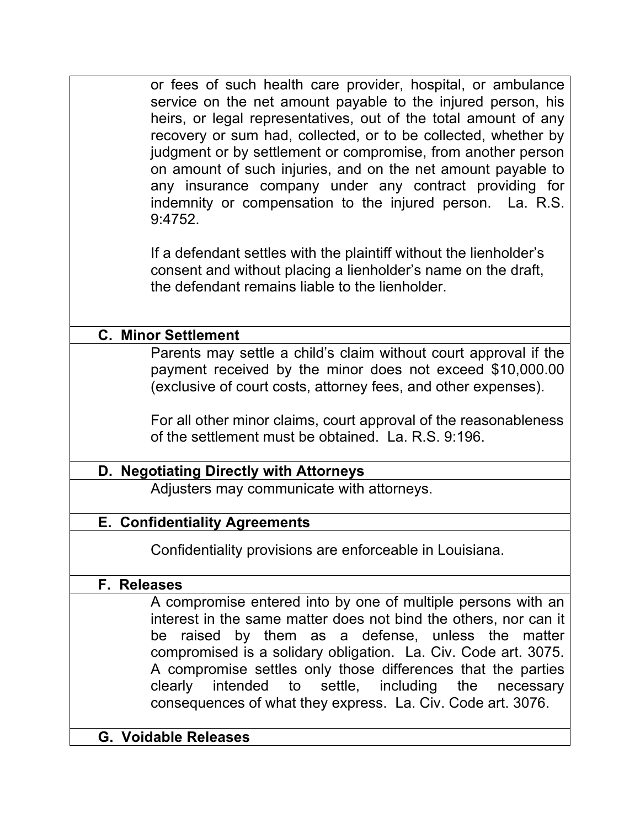or fees of such health care provider, hospital, or ambulance service on the net amount payable to the injured person, his heirs, or legal representatives, out of the total amount of any recovery or sum had, collected, or to be collected, whether by judgment or by settlement or compromise, from another person on amount of such injuries, and on the net amount payable to any insurance company under any contract providing for indemnity or compensation to the injured person. La. R.S. 9:4752.

If a defendant settles with the plaintiff without the lienholder's consent and without placing a lienholder's name on the draft, the defendant remains liable to the lienholder.

#### **C. Minor Settlement**

Parents may settle a child's claim without court approval if the payment received by the minor does not exceed \$10,000.00 (exclusive of court costs, attorney fees, and other expenses).

For all other minor claims, court approval of the reasonableness of the settlement must be obtained. La. R.S. 9:196.

#### **D. Negotiating Directly with Attorneys**

Adjusters may communicate with attorneys.

#### **E. Confidentiality Agreements**

Confidentiality provisions are enforceable in Louisiana.

#### **F. Releases**

A compromise entered into by one of multiple persons with an interest in the same matter does not bind the others, nor can it be raised by them as a defense, unless the matter compromised is a solidary obligation. La. Civ. Code art. 3075. A compromise settles only those differences that the parties clearly intended to settle, including the necessary consequences of what they express. La. Civ. Code art. 3076.

#### **G. Voidable Releases**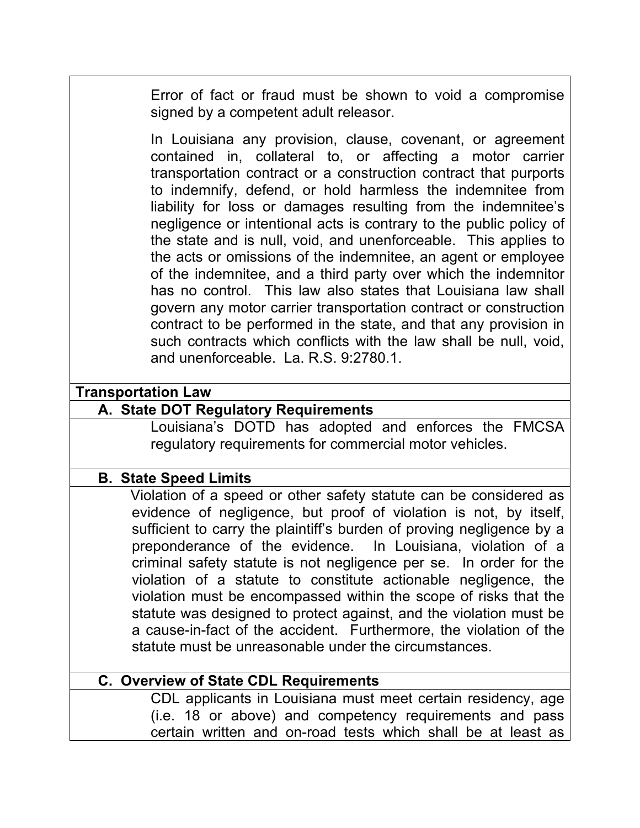Error of fact or fraud must be shown to void a compromise signed by a competent adult releasor.

In Louisiana any provision, clause, covenant, or agreement contained in, collateral to, or affecting a motor carrier transportation contract or a construction contract that purports to indemnify, defend, or hold harmless the indemnitee from liability for loss or damages resulting from the indemnitee's negligence or intentional acts is contrary to the public policy of the state and is null, void, and unenforceable. This applies to the acts or omissions of the indemnitee, an agent or employee of the indemnitee, and a third party over which the indemnitor has no control. This law also states that Louisiana law shall govern any motor carrier transportation contract or construction contract to be performed in the state, and that any provision in such contracts which conflicts with the law shall be null, void, and unenforceable. La. R.S. 9:2780.1.

#### **Transportation Law**

#### **A. State DOT Regulatory Requirements**

Louisiana's DOTD has adopted and enforces the FMCSA regulatory requirements for commercial motor vehicles.

#### **B. State Speed Limits**

 Violation of a speed or other safety statute can be considered as evidence of negligence, but proof of violation is not, by itself, sufficient to carry the plaintiff's burden of proving negligence by a preponderance of the evidence. In Louisiana, violation of a criminal safety statute is not negligence per se. In order for the violation of a statute to constitute actionable negligence, the violation must be encompassed within the scope of risks that the statute was designed to protect against, and the violation must be a cause-in-fact of the accident. Furthermore, the violation of the statute must be unreasonable under the circumstances.

#### **C. Overview of State CDL Requirements**

CDL applicants in Louisiana must meet certain residency, age (i.e. 18 or above) and competency requirements and pass certain written and on-road tests which shall be at least as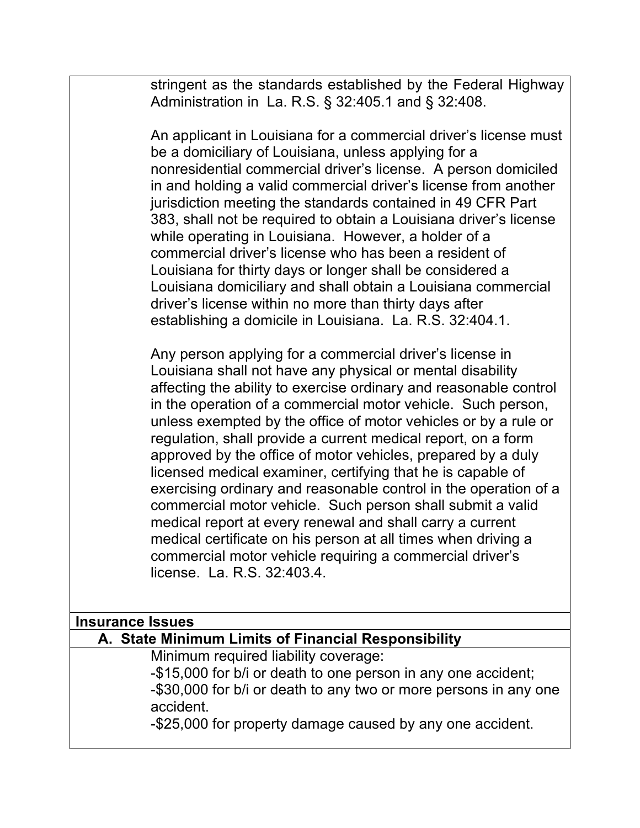stringent as the standards established by the Federal Highway Administration in La. R.S. § 32:405.1 and § 32:408.

An applicant in Louisiana for a commercial driver's license must be a domiciliary of Louisiana, unless applying for a nonresidential commercial driver's license. A person domiciled in and holding a valid commercial driver's license from another jurisdiction meeting the standards contained in 49 CFR Part 383, shall not be required to obtain a Louisiana driver's license while operating in Louisiana. However, a holder of a commercial driver's license who has been a resident of Louisiana for thirty days or longer shall be considered a Louisiana domiciliary and shall obtain a Louisiana commercial driver's license within no more than thirty days after establishing a domicile in Louisiana. La. R.S. 32:404.1.

Any person applying for a commercial driver's license in Louisiana shall not have any physical or mental disability affecting the ability to exercise ordinary and reasonable control in the operation of a commercial motor vehicle. Such person, unless exempted by the office of motor vehicles or by a rule or regulation, shall provide a current medical report, on a form approved by the office of motor vehicles, prepared by a duly licensed medical examiner, certifying that he is capable of exercising ordinary and reasonable control in the operation of a commercial motor vehicle. Such person shall submit a valid medical report at every renewal and shall carry a current medical certificate on his person at all times when driving a commercial motor vehicle requiring a commercial driver's license. La. R.S. 32:403.4.

| Insurance Issues         |
|--------------------------|
| A Ciata Minimary Linalis |

#### **A. State Minimum Limits of Financial Responsibility**

Minimum required liability coverage:

-\$15,000 for b/i or death to one person in any one accident; -\$30,000 for b/i or death to any two or more persons in any one accident.

-\$25,000 for property damage caused by any one accident.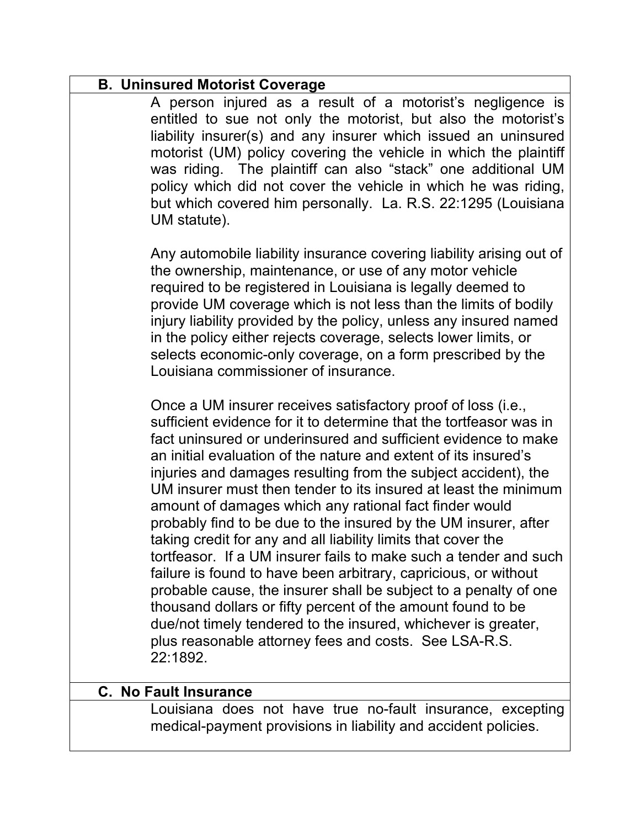# **B. Uninsured Motorist Coverage** A person injured as a result of a motorist's negligence is entitled to sue not only the motorist, but also the motorist's liability insurer(s) and any insurer which issued an uninsured motorist (UM) policy covering the vehicle in which the plaintiff was riding. The plaintiff can also "stack" one additional UM policy which did not cover the vehicle in which he was riding, but which covered him personally. La. R.S. 22:1295 (Louisiana UM statute). Any automobile liability insurance covering liability arising out of the ownership, maintenance, or use of any motor vehicle required to be registered in Louisiana is legally deemed to provide UM coverage which is not less than the limits of bodily injury liability provided by the policy, unless any insured named in the policy either rejects coverage, selects lower limits, or selects economic-only coverage, on a form prescribed by the Louisiana commissioner of insurance. Once a UM insurer receives satisfactory proof of loss (i.e., sufficient evidence for it to determine that the tortfeasor was in fact uninsured or underinsured and sufficient evidence to make an initial evaluation of the nature and extent of its insured's injuries and damages resulting from the subject accident), the UM insurer must then tender to its insured at least the minimum amount of damages which any rational fact finder would probably find to be due to the insured by the UM insurer, after taking credit for any and all liability limits that cover the tortfeasor. If a UM insurer fails to make such a tender and such failure is found to have been arbitrary, capricious, or without probable cause, the insurer shall be subject to a penalty of one thousand dollars or fifty percent of the amount found to be due/not timely tendered to the insured, whichever is greater, plus reasonable attorney fees and costs. See LSA-R.S. 22:1892. **C. No Fault Insurance**

Louisiana does not have true no-fault insurance, excepting medical-payment provisions in liability and accident policies.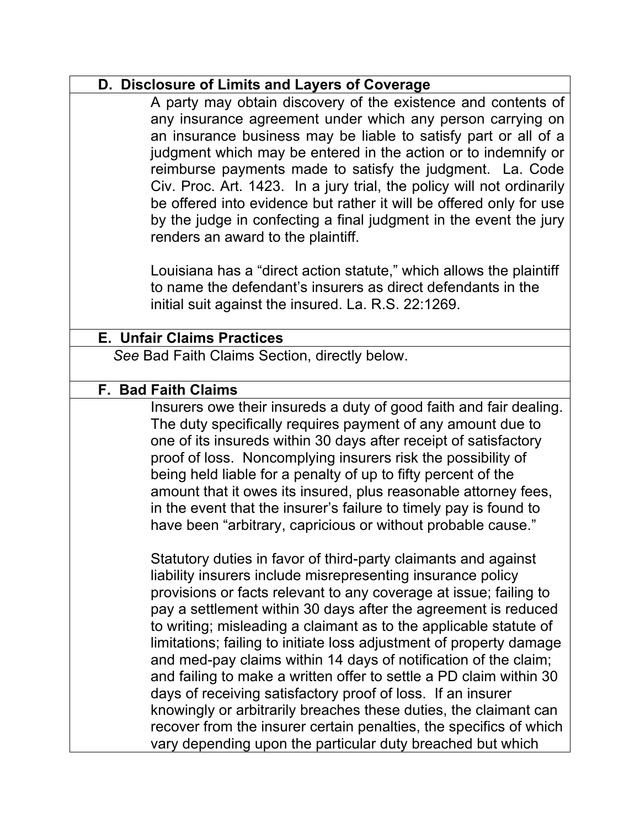#### **D. Disclosure of Limits and Layers of Coverage**

A party may obtain discovery of the existence and contents of any insurance agreement under which any person carrying on an insurance business may be liable to satisfy part or all of a judgment which may be entered in the action or to indemnify or reimburse payments made to satisfy the judgment. La. Code Civ. Proc. Art. 1423. In a jury trial, the policy will not ordinarily be offered into evidence but rather it will be offered only for use by the judge in confecting a final judgment in the event the jury renders an award to the plaintiff.

Louisiana has a "direct action statute," which allows the plaintiff to name the defendant's insurers as direct defendants in the initial suit against the insured. La. R.S. 22:1269.

# **E. Unfair Claims Practices**

*See* Bad Faith Claims Section, directly below.

#### **F. Bad Faith Claims**

Insurers owe their insureds a duty of good faith and fair dealing. The duty specifically requires payment of any amount due to one of its insureds within 30 days after receipt of satisfactory proof of loss. Noncomplying insurers risk the possibility of being held liable for a penalty of up to fifty percent of the amount that it owes its insured, plus reasonable attorney fees, in the event that the insurer's failure to timely pay is found to have been "arbitrary, capricious or without probable cause."

Statutory duties in favor of third-party claimants and against liability insurers include misrepresenting insurance policy provisions or facts relevant to any coverage at issue; failing to pay a settlement within 30 days after the agreement is reduced to writing; misleading a claimant as to the applicable statute of limitations; failing to initiate loss adjustment of property damage and med-pay claims within 14 days of notification of the claim; and failing to make a written offer to settle a PD claim within 30 days of receiving satisfactory proof of loss. If an insurer knowingly or arbitrarily breaches these duties, the claimant can recover from the insurer certain penalties, the specifics of which vary depending upon the particular duty breached but which